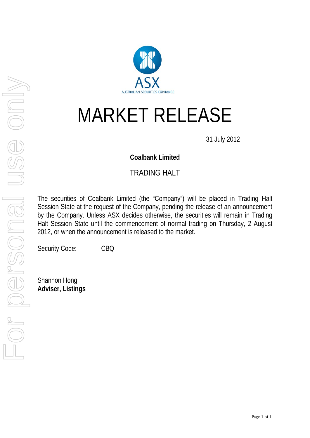

# MARKET RELEASE

31 July 2012

### **Coalbank Limited**

# TRADING HALT

The securities of Coalbank Limited (the "Company") will be placed in Trading Halt Session State at the request of the Company, pending the release of an announcement by the Company. Unless ASX decides otherwise, the securities will remain in Trading Halt Session State until the commencement of normal trading on Thursday, 2 August 2012, or when the announcement is released to the market.

Security Code: CBQ

Shannon Hong **Adviser, Listings**